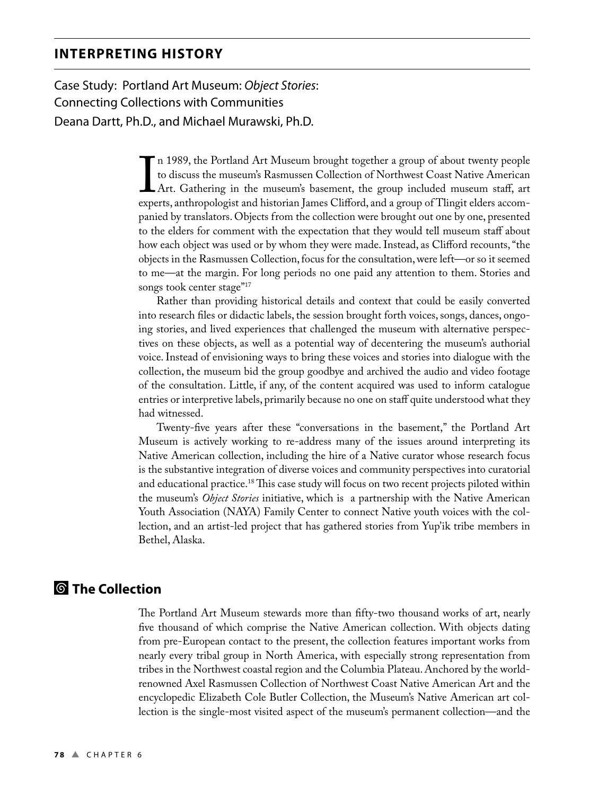Case Study: Portland Art Museum: Object Stories: Connecting Collections with Communities Deana Dartt, Ph.D., and Michael Murawski, Ph.D.

> $\prod_{\text{even}}$ n 1989, the Portland Art Museum brought together a group of about twenty people to discuss the museum's Rasmussen Collection of Northwest Coast Native American Art. Gathering in the museum's basement, the group included museum staff, art experts, anthropologist and historian James Clifford, and a group of Tlingit elders accompanied by translators. Objects from the collection were brought out one by one, presented to the elders for comment with the expectation that they would tell museum staff about how each object was used or by whom they were made. Instead, as Clifford recounts, "the objects in the Rasmussen Collection, focus for the consultation, were left—or so it seemed to me—at the margin. For long periods no one paid any attention to them. Stories and songs took center stage"<sup>17</sup>

> Rather than providing historical details and context that could be easily converted into research files or didactic labels, the session brought forth voices, songs, dances, ongoing stories, and lived experiences that challenged the museum with alternative perspectives on these objects, as well as a potential way of decentering the museum's authorial voice. Instead of envisioning ways to bring these voices and stories into dialogue with the collection, the museum bid the group goodbye and archived the audio and video footage of the consultation. Little, if any, of the content acquired was used to inform catalogue entries or interpretive labels, primarily because no one on staff quite understood what they had witnessed.

> Twenty-five years after these "conversations in the basement," the Portland Art Museum is actively working to re-address many of the issues around interpreting its Native American collection, including the hire of a Native curator whose research focus is the substantive integration of diverse voices and community perspectives into curatorial and educational practice.<sup>18</sup> This case study will focus on two recent projects piloted within the museum's *Object Stories* initiative, which is a partnership with the Native American Youth Association (NAYA) Family Center to connect Native youth voices with the collection, and an artist-led project that has gathered stories from Yup'ik tribe members in Bethel, Alaska.

# ¢ **The Collection**

The Portland Art Museum stewards more than fifty-two thousand works of art, nearly five thousand of which comprise the Native American collection. With objects dating from pre-European contact to the present, the collection features important works from nearly every tribal group in North America, with especially strong representation from tribes in the Northwest coastal region and the Columbia Plateau. Anchored by the worldrenowned Axel Rasmussen Collection of Northwest Coast Native American Art and the encyclopedic Elizabeth Cole Butler Collection, the Museum's Native American art collection is the single-most visited aspect of the museum's permanent collection—and the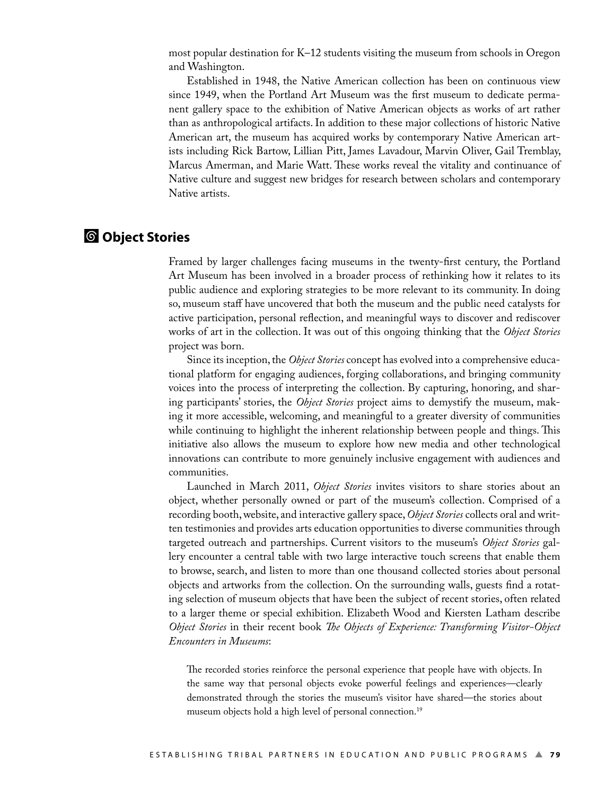most popular destination for K–12 students visiting the museum from schools in Oregon and Washington.

 Established in 1948, the Native American collection has been on continuous view since 1949, when the Portland Art Museum was the first museum to dedicate permanent gallery space to the exhibition of Native American objects as works of art rather than as anthropological artifacts. In addition to these major collections of historic Native American art, the museum has acquired works by contemporary Native American artists including Rick Bartow, Lillian Pitt, James Lavadour, Marvin Oliver, Gail Tremblay, Marcus Amerman, and Marie Watt. These works reveal the vitality and continuance of Native culture and suggest new bridges for research between scholars and contemporary Native artists.

#### ¢ **Object Stories**

Framed by larger challenges facing museums in the twenty-first century, the Portland Art Museum has been involved in a broader process of rethinking how it relates to its public audience and exploring strategies to be more relevant to its community. In doing so, museum staff have uncovered that both the museum and the public need catalysts for active participation, personal reflection, and meaningful ways to discover and rediscover works of art in the collection. It was out of this ongoing thinking that the *Object Stories*  project was born.

 Since its inception, the *Object Stories* concept has evolved into a comprehensive educational platform for engaging audiences, forging collaborations, and bringing community voices into the process of interpreting the collection. By capturing, honoring, and sharing participants' stories, the *Object Stories* project aims to demystify the museum, making it more accessible, welcoming, and meaningful to a greater diversity of communities while continuing to highlight the inherent relationship between people and things. This initiative also allows the museum to explore how new media and other technological innovations can contribute to more genuinely inclusive engagement with audiences and communities.

 Launched in March 2011, *Object Stories* invites visitors to share stories about an object, whether personally owned or part of the museum's collection. Comprised of a recording booth, website, and interactive gallery space, *Object Stories* collects oral and written testimonies and provides arts education opportunities to diverse communities through targeted outreach and partnerships. Current visitors to the museum's *Object Stories* gallery encounter a central table with two large interactive touch screens that enable them to browse, search, and listen to more than one thousand collected stories about personal objects and artworks from the collection. On the surrounding walls, guests find a rotating selection of museum objects that have been the subject of recent stories, often related to a larger theme or special exhibition. Elizabeth Wood and Kiersten Latham describe *Object Stories* in their recent book *The Objects of Experience: Transforming Visitor-Object Encounters in Museums*:

The recorded stories reinforce the personal experience that people have with objects. In the same way that personal objects evoke powerful feelings and experiences—clearly demonstrated through the stories the museum's visitor have shared—the stories about museum objects hold a high level of personal connection.<sup>19</sup>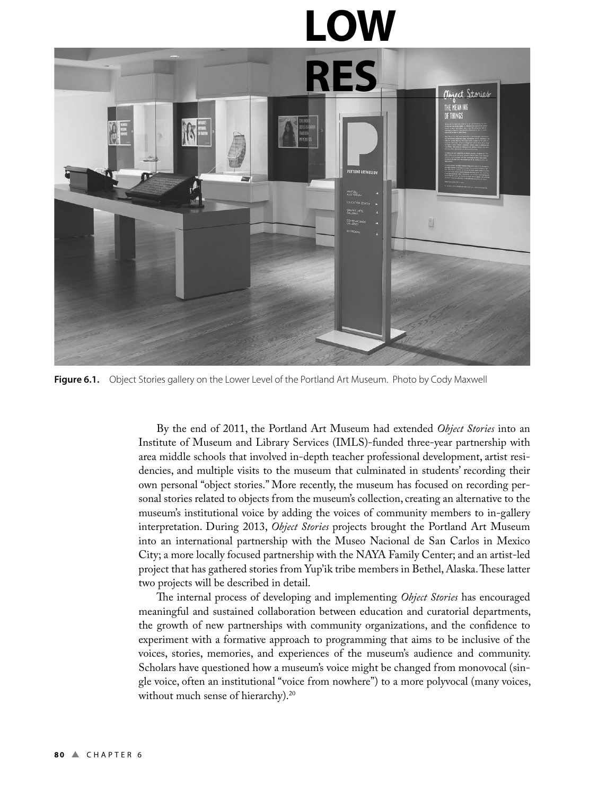# **LOW**



**Figure 6.1.** Object Stories gallery on the Lower Level of the Portland Art Museum. Photo by Cody Maxwell

 By the end of 2011, the Portland Art Museum had extended *Object Stories* into an Institute of Museum and Library Services (IMLS)-funded three-year partnership with area middle schools that involved in-depth teacher professional development, artist residencies, and multiple visits to the museum that culminated in students' recording their own personal "object stories." More recently, the museum has focused on recording personal stories related to objects from the museum's collection, creating an alternative to the museum's institutional voice by adding the voices of community members to in-gallery interpretation. During 2013, *Object Stories* projects brought the Portland Art Museum into an international partnership with the Museo Nacional de San Carlos in Mexico City; a more locally focused partnership with the NAYA Family Center; and an artist-led project that has gathered stories from Yup'ik tribe members in Bethel, Alaska. These latter two projects will be described in detail.

The internal process of developing and implementing *Object Stories* has encouraged meaningful and sustained collaboration between education and curatorial departments, the growth of new partnerships with community organizations, and the confidence to experiment with a formative approach to programming that aims to be inclusive of the voices, stories, memories, and experiences of the museum's audience and community. Scholars have questioned how a museum's voice might be changed from monovocal (single voice, often an institutional "voice from nowhere") to a more polyvocal (many voices, without much sense of hierarchy).<sup>20</sup>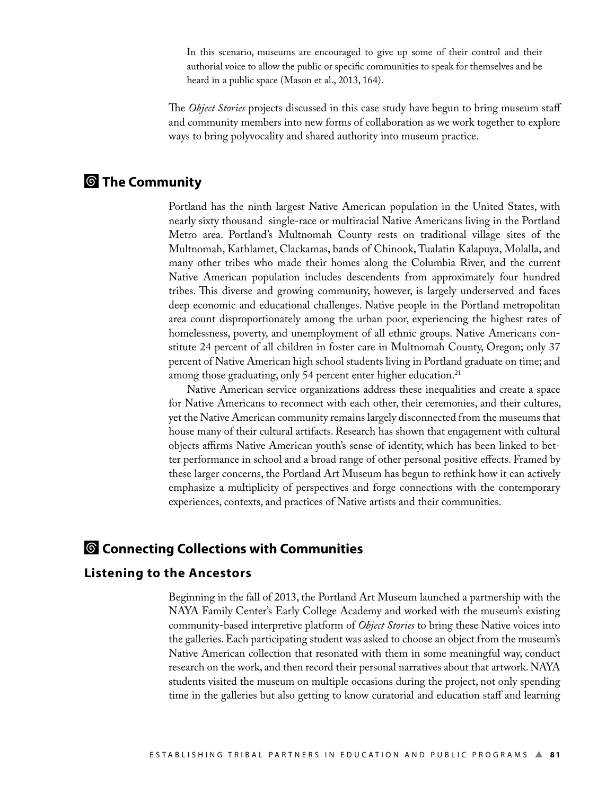In this scenario, museums are encouraged to give up some of their control and their authorial voice to allow the public or specific communities to speak for themselves and be heard in a public space (Mason et al., 2013, 164).

e *Object Stories* projects discussed in this case study have begun to bring museum staff and community members into new forms of collaboration as we work together to explore ways to bring polyvocality and shared authority into museum practice.

## ¢ **The Community**

Portland has the ninth largest Native American population in the United States, with nearly sixty thousand single-race or multiracial Native Americans living in the Portland Metro area. Portland's Multnomah County rests on traditional village sites of the Multnomah, Kathlamet, Clackamas, bands of Chinook, Tualatin Kalapuya, Molalla, and many other tribes who made their homes along the Columbia River, and the current Native American population includes descendents from approximately four hundred tribes. This diverse and growing community, however, is largely underserved and faces deep economic and educational challenges. Native people in the Portland metropolitan area count disproportionately among the urban poor, experiencing the highest rates of homelessness, poverty, and unemployment of all ethnic groups. Native Americans constitute 24 percent of all children in foster care in Multnomah County, Oregon; only 37 percent of Native American high school students living in Portland graduate on time; and among those graduating, only 54 percent enter higher education.<sup>21</sup>

 Native American service organizations address these inequalities and create a space for Native Americans to reconnect with each other, their ceremonies, and their cultures, yet the Native American community remains largely disconnected from the museums that house many of their cultural artifacts. Research has shown that engagement with cultural objects affirms Native American youth's sense of identity, which has been linked to better performance in school and a broad range of other personal positive effects. Framed by these larger concerns, the Portland Art Museum has begun to rethink how it can actively emphasize a multiplicity of perspectives and forge connections with the contemporary experiences, contexts, and practices of Native artists and their communities.

### **<sup>6</sup>** Connecting Collections with Communities

#### **Listening to the Ancestors**

Beginning in the fall of 2013, the Portland Art Museum launched a partnership with the NAYA Family Center's Early College Academy and worked with the museum's existing community-based interpretive platform of *Object Stories* to bring these Native voices into the galleries. Each participating student was asked to choose an object from the museum's Native American collection that resonated with them in some meaningful way, conduct research on the work, and then record their personal narratives about that artwork. NAYA students visited the museum on multiple occasions during the project, not only spending time in the galleries but also getting to know curatorial and education staff and learning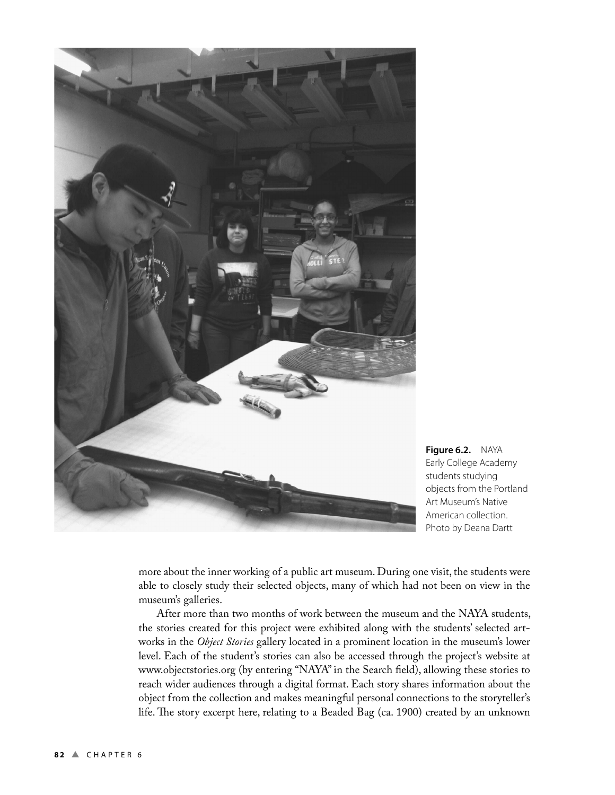

**Figure 6.2.** NAYA Early College Academy students studying objects from the Portland Art Museum's Native American collection. Photo by Deana Dartt

more about the inner working of a public art museum. During one visit, the students were able to closely study their selected objects, many of which had not been on view in the museum's galleries.

 After more than two months of work between the museum and the NAYA students, the stories created for this project were exhibited along with the students' selected artworks in the *Object Stories* gallery located in a prominent location in the museum's lower level. Each of the student's stories can also be accessed through the project's website at www.objectstories.org (by entering "NAYA" in the Search field), allowing these stories to reach wider audiences through a digital format. Each story shares information about the object from the collection and makes meaningful personal connections to the storyteller's life. The story excerpt here, relating to a Beaded Bag (ca. 1900) created by an unknown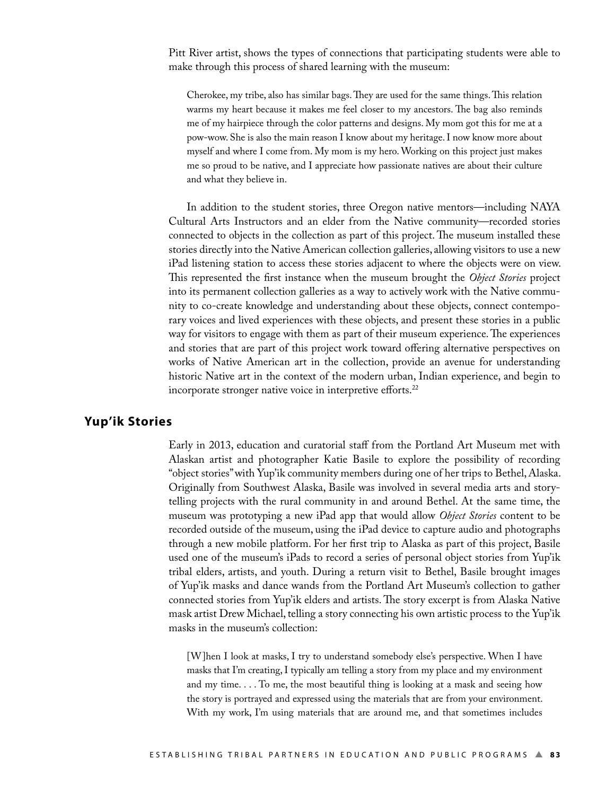Pitt River artist, shows the types of connections that participating students were able to make through this process of shared learning with the museum:

Cherokee, my tribe, also has similar bags. They are used for the same things. This relation warms my heart because it makes me feel closer to my ancestors. The bag also reminds me of my hairpiece through the color patterns and designs. My mom got this for me at a pow-wow. She is also the main reason I know about my heritage. I now know more about myself and where I come from. My mom is my hero. Working on this project just makes me so proud to be native, and I appreciate how passionate natives are about their culture and what they believe in.

 In addition to the student stories, three Oregon native mentors—including NAYA Cultural Arts Instructors and an elder from the Native community—recorded stories connected to objects in the collection as part of this project. The museum installed these stories directly into the Native American collection galleries, allowing visitors to use a new iPad listening station to access these stories adjacent to where the objects were on view. This represented the first instance when the museum brought the *Object Stories* project into its permanent collection galleries as a way to actively work with the Native community to co-create knowledge and understanding about these objects, connect contemporary voices and lived experiences with these objects, and present these stories in a public way for visitors to engage with them as part of their museum experience. The experiences and stories that are part of this project work toward offering alternative perspectives on works of Native American art in the collection, provide an avenue for understanding historic Native art in the context of the modern urban, Indian experience, and begin to incorporate stronger native voice in interpretive efforts.<sup>22</sup>

#### **Yup'ik Stories**

Early in 2013, education and curatorial staff from the Portland Art Museum met with Alaskan artist and photographer Katie Basile to explore the possibility of recording "object stories" with Yup'ik community members during one of her trips to Bethel, Alaska. Originally from Southwest Alaska, Basile was involved in several media arts and storytelling projects with the rural community in and around Bethel. At the same time, the museum was prototyping a new iPad app that would allow *Object Stories* content to be recorded outside of the museum, using the iPad device to capture audio and photographs through a new mobile platform. For her first trip to Alaska as part of this project, Basile used one of the museum's iPads to record a series of personal object stories from Yup'ik tribal elders, artists, and youth. During a return visit to Bethel, Basile brought images of Yup'ik masks and dance wands from the Portland Art Museum's collection to gather connected stories from Yup'ik elders and artists. The story excerpt is from Alaska Native mask artist Drew Michael, telling a story connecting his own artistic process to the Yup'ik masks in the museum's collection:

[W]hen I look at masks, I try to understand somebody else's perspective. When I have masks that I'm creating, I typically am telling a story from my place and my environment and my time. . . . To me, the most beautiful thing is looking at a mask and seeing how the story is portrayed and expressed using the materials that are from your environment. With my work, I'm using materials that are around me, and that sometimes includes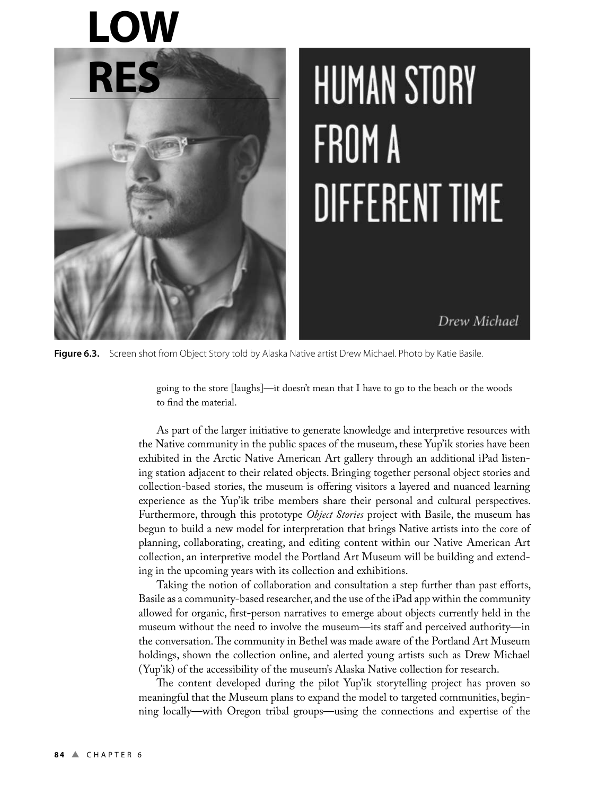# **LOW**



# **HUMAN STORY** FROM A **DIFFERENT TIME**

Drew Michael

Figure 6.3. Screen shot from Object Story told by Alaska Native artist Drew Michael. Photo by Katie Basile.

going to the store [laughs]—it doesn't mean that I have to go to the beach or the woods to find the material.

 As part of the larger initiative to generate knowledge and interpretive resources with the Native community in the public spaces of the museum, these Yup'ik stories have been exhibited in the Arctic Native American Art gallery through an additional iPad listening station adjacent to their related objects. Bringing together personal object stories and collection-based stories, the museum is offering visitors a layered and nuanced learning experience as the Yup'ik tribe members share their personal and cultural perspectives. Furthermore, through this prototype *Object Stories* project with Basile, the museum has begun to build a new model for interpretation that brings Native artists into the core of planning, collaborating, creating, and editing content within our Native American Art collection, an interpretive model the Portland Art Museum will be building and extending in the upcoming years with its collection and exhibitions.

 Taking the notion of collaboration and consultation a step further than past efforts, Basile as a community-based researcher, and the use of the iPad app within the community allowed for organic, first-person narratives to emerge about objects currently held in the museum without the need to involve the museum—its staff and perceived authority—in the conversation. The community in Bethel was made aware of the Portland Art Museum holdings, shown the collection online, and alerted young artists such as Drew Michael (Yup'ik) of the accessibility of the museum's Alaska Native collection for research.

The content developed during the pilot Yup'ik storytelling project has proven so meaningful that the Museum plans to expand the model to targeted communities, beginning locally—with Oregon tribal groups—using the connections and expertise of the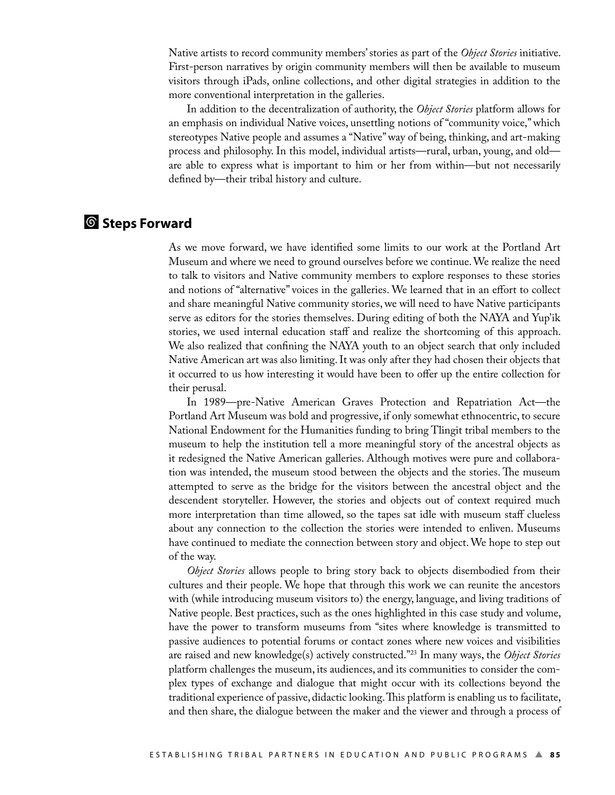Native artists to record community members' stories as part of the *Object Stories* initiative. First-person narratives by origin community members will then be available to museum visitors through iPads, online collections, and other digital strategies in addition to the more conventional interpretation in the galleries.

 In addition to the decentralization of authority, the *Object Stories* platform allows for an emphasis on individual Native voices, unsettling notions of "community voice," which stereotypes Native people and assumes a "Native" way of being, thinking, and art-making process and philosophy. In this model, individual artists—rural, urban, young, and old are able to express what is important to him or her from within—but not necessarily defined by—their tribal history and culture.

# ¢ **Steps Forward**

As we move forward, we have identified some limits to our work at the Portland Art Museum and where we need to ground ourselves before we continue. We realize the need to talk to visitors and Native community members to explore responses to these stories and notions of "alternative" voices in the galleries. We learned that in an effort to collect and share meaningful Native community stories, we will need to have Native participants serve as editors for the stories themselves. During editing of both the NAYA and Yup'ik stories, we used internal education staff and realize the shortcoming of this approach. We also realized that confining the NAYA youth to an object search that only included Native American art was also limiting. It was only after they had chosen their objects that it occurred to us how interesting it would have been to offer up the entire collection for their perusal.

 In 1989—pre-Native American Graves Protection and Repatriation Act—the Portland Art Museum was bold and progressive, if only somewhat ethnocentric, to secure National Endowment for the Humanities funding to bring Tlingit tribal members to the museum to help the institution tell a more meaningful story of the ancestral objects as it redesigned the Native American galleries. Although motives were pure and collaboration was intended, the museum stood between the objects and the stories. The museum attempted to serve as the bridge for the visitors between the ancestral object and the descendent storyteller. However, the stories and objects out of context required much more interpretation than time allowed, so the tapes sat idle with museum staff clueless about any connection to the collection the stories were intended to enliven. Museums have continued to mediate the connection between story and object. We hope to step out of the way.

*Object Stories* allows people to bring story back to objects disembodied from their cultures and their people. We hope that through this work we can reunite the ancestors with (while introducing museum visitors to) the energy, language, and living traditions of Native people. Best practices, such as the ones highlighted in this case study and volume, have the power to transform museums from "sites where knowledge is transmitted to passive audiences to potential forums or contact zones where new voices and visibilities are raised and new knowledge(s) actively constructed."<sup>23</sup> In many ways, the *Object Stories* platform challenges the museum, its audiences, and its communities to consider the complex types of exchange and dialogue that might occur with its collections beyond the traditional experience of passive, didactic looking. This platform is enabling us to facilitate, and then share, the dialogue between the maker and the viewer and through a process of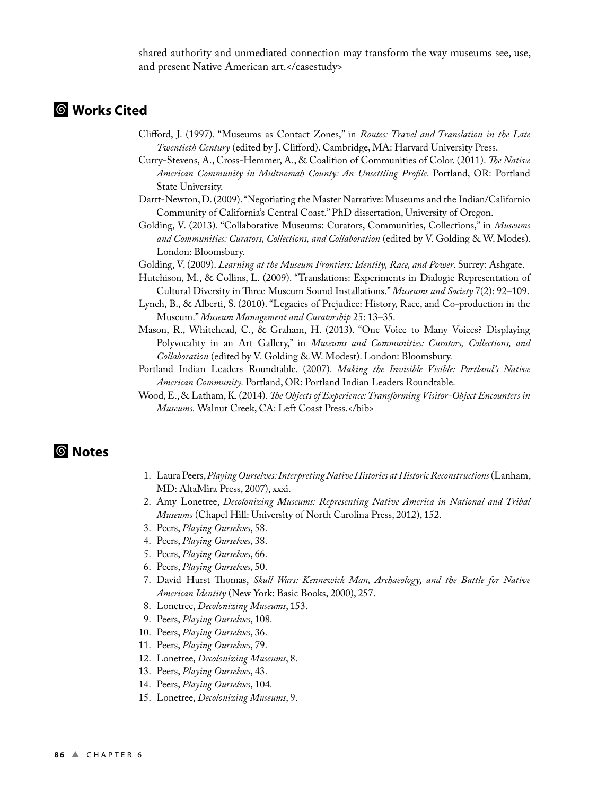shared authority and unmediated connection may transform the way museums see, use, and present Native American art.</casestudy>

# ¢ **Works Cited**

- Clifford, J. (1997). "Museums as Contact Zones," in *Routes: Travel and Translation in the Late Twentieth Century* (edited by J. Clifford). Cambridge, MA: Harvard University Press.
- Curry-Stevens, A., Cross-Hemmer, A., & Coalition of Communities of Color. (2011). *!e Native American Community in Multnomah County: An Unsettling Profile*. Portland, OR: Portland State University.
- Dartt-Newton, D. (2009). "Negotiating the Master Narrative: Museums and the Indian/Californio Community of California's Central Coast." PhD dissertation, University of Oregon.
- Golding, V. (2013). "Collaborative Museums: Curators, Communities, Collections," in *Museums and Communities: Curators, Collections, and Collaboration* (edited by V. Golding & W. Modes). London: Bloomsbury.
- Golding, V. (2009). *Learning at the Museum Frontiers: Identity, Race, and Power*. Surrey: Ashgate.
- Hutchison, M., & Collins, L. (2009). "Translations: Experiments in Dialogic Representation of Cultural Diversity in Three Museum Sound Installations." Museums and Society 7(2): 92-109.
- Lynch, B., & Alberti, S. (2010). "Legacies of Prejudice: History, Race, and Co-production in the Museum." *Museum Management and Curatorship* 25: 13–35.
- Mason, R., Whitehead, C., & Graham, H. (2013). "One Voice to Many Voices? Displaying Polyvocality in an Art Gallery," in *Museums and Communities: Curators, Collections, and Collaboration* (edited by V. Golding & W. Modest). London: Bloomsbury.
- Portland Indian Leaders Roundtable. (2007). *Making the Invisible Visible: Portland's Native American Community.* Portland, OR: Portland Indian Leaders Roundtable.
- Wood, E., & Latham, K. (2014). *!e Objects of Experience: Transforming Visitor-Object Encounters in Museums.* Walnut Creek, CA: Left Coast Press.</bib>

# ¢ **Notes**

- 1. Laura Peers, *Playing Ourselves: Interpreting Native Histories at Historic Reconstructions* (Lanham, MD: AltaMira Press, 2007), xxxi.
- 2. Amy Lonetree, *Decolonizing Museums: Representing Native America in National and Tribal Museums* (Chapel Hill: University of North Carolina Press, 2012), 152.
- 3. Peers, *Playing Ourselves*, 58.
- 4. Peers, *Playing Ourselves*, 38.
- 5. Peers, *Playing Ourselves*, 66.
- 6. Peers, *Playing Ourselves*, 50.
- 7. David Hurst Thomas, *Skull Wars: Kennewick Man, Archaeology, and the Battle for Native American Identity* (New York: Basic Books, 2000), 257.
- 8. Lonetree, *Decolonizing Museums*, 153.
- 9. Peers, *Playing Ourselves*, 108.
- 10. Peers, *Playing Ourselves*, 36.
- 11. Peers, *Playing Ourselves*, 79.
- 12. Lonetree, *Decolonizing Museums*, 8.
- 13. Peers, *Playing Ourselves*, 43.
- 14. Peers, *Playing Ourselves*, 104.
- 15. Lonetree, *Decolonizing Museums*, 9.